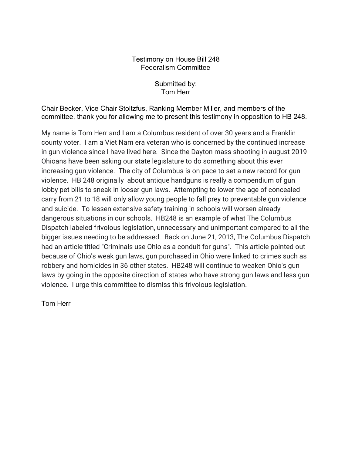## Testimony on House Bill 248 Federalism Committee

Submitted by: Tom Herr

Chair Becker, Vice Chair Stoltzfus, Ranking Member Miller, and members of the committee, thank you for allowing me to present this testimony in opposition to HB 248.

My name is Tom Herr and I am a Columbus resident of over 30 years and a Franklin county voter. I am a Viet Nam era veteran who is concerned by the continued increase in gun violence since I have lived here. Since the Dayton mass shooting in august 2019 Ohioans have been asking our state legislature to do something about this ever increasing gun violence. The city of Columbus is on pace to set a new record for gun violence. HB 248 originally about antique handguns is really a compendium of gun lobby pet bills to sneak in looser gun laws. Attempting to lower the age of concealed carry from 21 to 18 will only allow young people to fall prey to preventable gun violence and suicide. To lessen extensive safety training in schools will worsen already dangerous situations in our schools. HB248 is an example of what The Columbus Dispatch labeled frivolous legislation, unnecessary and unimportant compared to all the bigger issues needing to be addressed. Back on June 21, 2013, The Columbus Dispatch had an article titled "Criminals use Ohio as a conduit for guns". This article pointed out because of Ohio's weak gun laws, gun purchased in Ohio were linked to crimes such as robbery and homicides in 36 other states. HB248 will continue to weaken Ohio's gun laws by going in the opposite direction of states who have strong gun laws and less gun violence. I urge this committee to dismiss this frivolous legislation.

Tom Herr